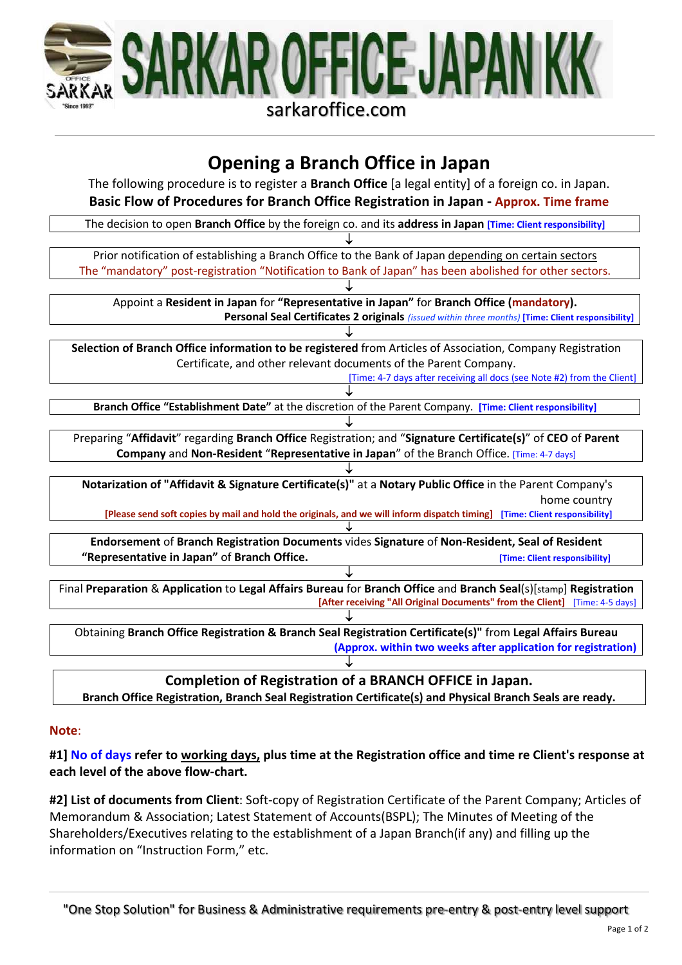

# **Opening a Branch Office in Japan**

The following procedure is to register a **Branch Office** [a legal entity] of a foreign co. in Japan. **Basic Flow of Procedures for Branch Office Registration in Japan - Approx. Time frame**



**Branch Office Registration, Branch Seal Registration Certificate(s) and Physical Branch Seals are ready.**

## **Note**:

**#1] No of days refer to working days, plus time at the Registration office and time re Client's response at each level of the above flow-chart.**

**#2] List of documents from Client**: Soft-copy of Registration Certificate of the Parent Company; Articles of Memorandum & Association; Latest Statement of Accounts(BSPL); The Minutes of Meeting of the Shareholders/Executives relating to the establishment of a Japan Branch(if any) and filling up the information on "Instruction Form," etc.